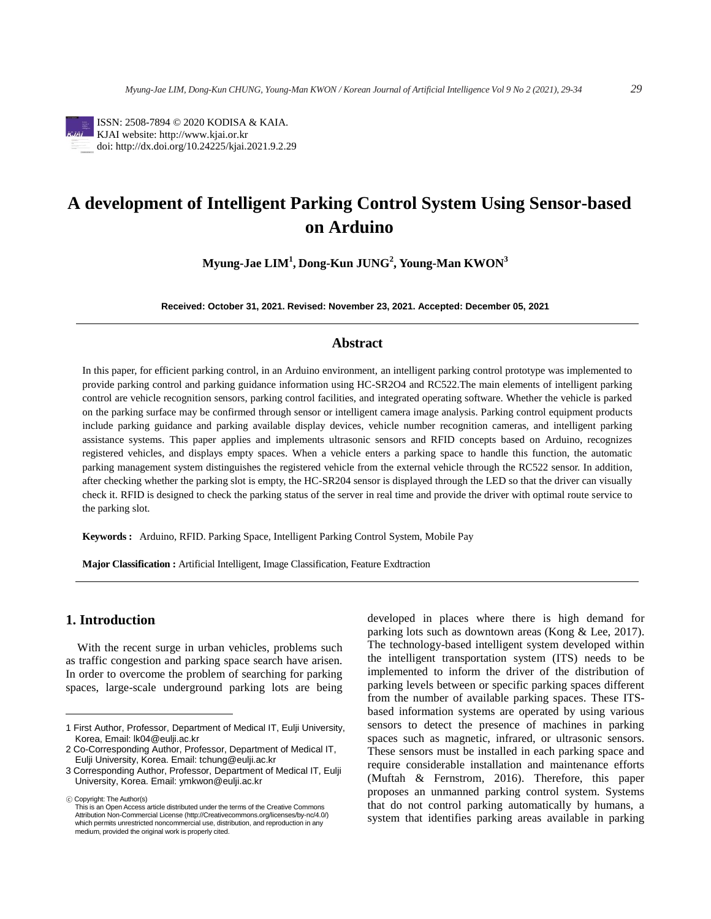

ISSN: 2508-7894 © 2020 KODISA & KAIA. KJAI website: http://www.kjai.or.kr doi: http://dx.doi.org/10.24225/kjai.2021.9.2.29

# **A development of Intelligent Parking Control System Using Sensor-based on Arduino**

**Myung-Jae LIM<sup>1</sup> , Dong-Kun JUNG<sup>2</sup> , Young-Man KWON<sup>3</sup>**

**Received: October 31, 2021. Revised: November 23, 2021. Accepted: December 05, 2021**

#### **Abstract**

In this paper, for efficient parking control, in an Arduino environment, an intelligent parking control prototype was implemented to provide parking control and parking guidance information using HC-SR2O4 and RC522.The main elements of intelligent parking control are vehicle recognition sensors, parking control facilities, and integrated operating software. Whether the vehicle is parked on the parking surface may be confirmed through sensor or intelligent camera image analysis. Parking control equipment products include parking guidance and parking available display devices, vehicle number recognition cameras, and intelligent parking assistance systems. This paper applies and implements ultrasonic sensors and RFID concepts based on Arduino, recognizes registered vehicles, and displays empty spaces. When a vehicle enters a parking space to handle this function, the automatic parking management system distinguishes the registered vehicle from the external vehicle through the RC522 sensor. In addition, after checking whether the parking slot is empty, the HC-SR204 sensor is displayed through the LED so that the driver can visually check it. RFID is designed to check the parking status of the server in real time and provide the driver with optimal route service to the parking slot.

**Keywords :** Arduino, RFID. Parking Space, Intelligent Parking Control System, Mobile Pay

**Major Classification :** Artificial Intelligent, Image Classification, Feature Exdtraction

## 1. **Introduction**

With the recent surge in urban vehicles, problems such as traffic congestion and parking space search have arisen. In order to overcome the problem of searching for parking spaces, large-scale underground parking lots are being

developed in places where there is high demand for parking lots such as downtown areas (Kong & Lee, 2017). The technology-based intelligent system developed within the intelligent transportation system (ITS) needs to be implemented to inform the driver of the distribution of parking levels between or specific parking spaces different from the number of available parking spaces. These ITSbased information systems are operated by using various sensors to detect the presence of machines in parking spaces such as magnetic, infrared, or ultrasonic sensors. These sensors must be installed in each parking space and require considerable installation and maintenance efforts (Muftah & Fernstrom, 2016). Therefore, this paper proposes an unmanned parking control system. Systems that do not control parking automatically by humans, a system that identifies parking areas available in parking

<sup>1</sup> First Author, Professor, Department of Medical IT, Eulji University, Korea, Email: lk04@eulji.ac.kr

<sup>2</sup> Co-Corresponding Author, Professor, Department of Medical IT, Eulji University, Korea. Email: tchung@eulji.ac.kr

<sup>3</sup> Corresponding Author, Professor, Department of Medical IT, Eulji University, Korea. Email: ymkwon@eulji.ac.kr

<sup>ⓒ</sup> Copyright: The Author(s)

This is an Open Access article distributed under the terms of the Creative Commons Attribution Non-Commercial License (http://Creativecommons.org/licenses/by-nc/4.0/) which permits unrestricted noncommercial use, distribution, and reproduction in any medium, provided the original work is properly cited.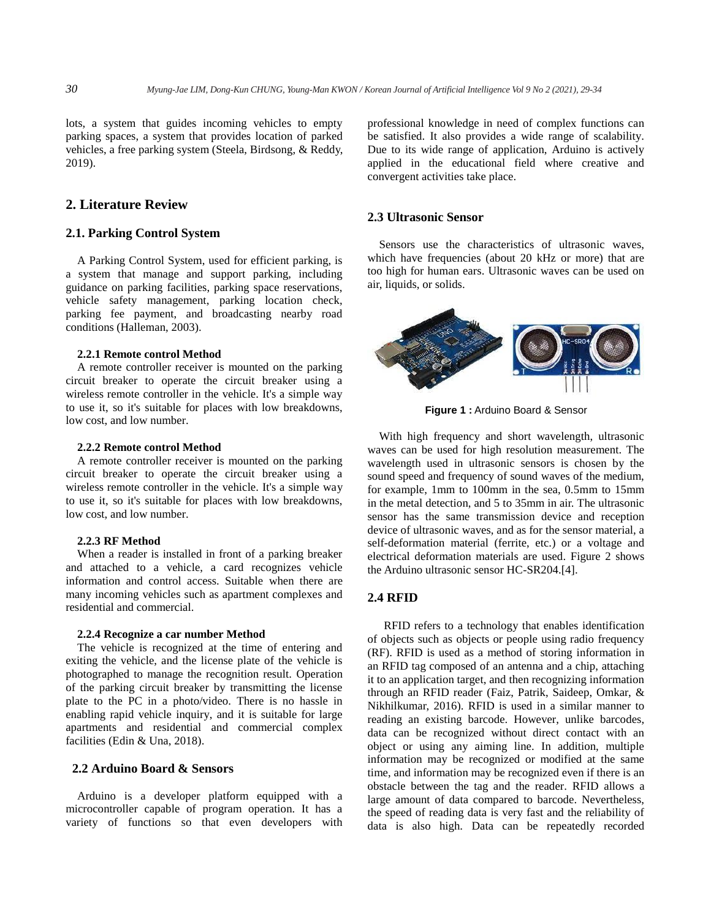lots, a system that guides incoming vehicles to empty parking spaces, a system that provides location of parked vehicles, a free parking system (Steela, Birdsong, & Reddy, 2019).

## **2. Literature Review**

## **2.1. Parking Control System**

A Parking Control System, used for efficient parking, is a system that manage and support parking, including guidance on parking facilities, parking space reservations, vehicle safety management, parking location check, parking fee payment, and broadcasting nearby road conditions (Halleman, 2003).

#### **2.2.1 Remote control Method**

A remote controller receiver is mounted on the parking circuit breaker to operate the circuit breaker using a wireless remote controller in the vehicle. It's a simple way to use it, so it's suitable for places with low breakdowns, low cost, and low number.

#### **2.2.2 Remote control Method**

A remote controller receiver is mounted on the parking circuit breaker to operate the circuit breaker using a wireless remote controller in the vehicle. It's a simple way to use it, so it's suitable for places with low breakdowns, low cost, and low number.

#### **2.2.3 RF Method**

When a reader is installed in front of a parking breaker and attached to a vehicle, a card recognizes vehicle information and control access. Suitable when there are many incoming vehicles such as apartment complexes and residential and commercial.

#### **2.2.4 Recognize a car number Method**

The vehicle is recognized at the time of entering and exiting the vehicle, and the license plate of the vehicle is photographed to manage the recognition result. Operation of the parking circuit breaker by transmitting the license plate to the PC in a photo/video. There is no hassle in enabling rapid vehicle inquiry, and it is suitable for large apartments and residential and commercial complex facilities (Edin & Una, 2018).

## **2.2 Arduino Board & Sensors**

Arduino is a developer platform equipped with a microcontroller capable of program operation. It has a variety of functions so that even developers with

professional knowledge in need of complex functions can be satisfied. It also provides a wide range of scalability. Due to its wide range of application, Arduino is actively applied in the educational field where creative and convergent activities take place.

#### **2.3 Ultrasonic Sensor**

Sensors use the characteristics of ultrasonic waves, which have frequencies (about 20 kHz or more) that are too high for human ears. Ultrasonic waves can be used on air, liquids, or solids.



**Figure 1 :** Arduino Board & Sensor

With high frequency and short wavelength, ultrasonic waves can be used for high resolution measurement. The wavelength used in ultrasonic sensors is chosen by the sound speed and frequency of sound waves of the medium, for example, 1mm to 100mm in the sea, 0.5mm to 15mm in the metal detection, and 5 to 35mm in air. The ultrasonic sensor has the same transmission device and reception device of ultrasonic waves, and as for the sensor material, a self-deformation material (ferrite, etc.) or a voltage and electrical deformation materials are used. Figure 2 shows the Arduino ultrasonic sensor HC-SR204.[4].

#### **2.4 RFID**

RFID refers to a technology that enables identification of objects such as objects or people using radio frequency (RF). RFID is used as a method of storing information in an RFID tag composed of an antenna and a chip, attaching it to an application target, and then recognizing information through an RFID reader (Faiz, Patrik, Saideep, Omkar, & Nikhilkumar, 2016). RFID is used in a similar manner to reading an existing barcode. However, unlike barcodes, data can be recognized without direct contact with an object or using any aiming line. In addition, multiple information may be recognized or modified at the same time, and information may be recognized even if there is an obstacle between the tag and the reader. RFID allows a large amount of data compared to barcode. Nevertheless, the speed of reading data is very fast and the reliability of data is also high. Data can be repeatedly recorded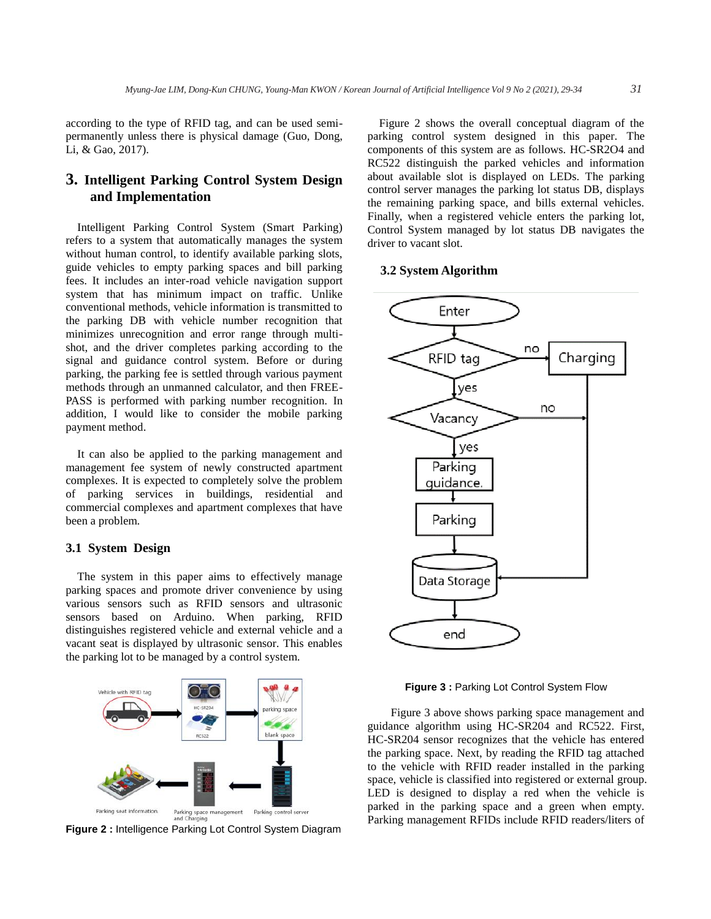according to the type of RFID tag, and can be used semipermanently unless there is physical damage (Guo, Dong, Li, & Gao, 2017).

## **3. Intelligent Parking Control System Design and Implementation**

Intelligent Parking Control System (Smart Parking) refers to a system that automatically manages the system without human control, to identify available parking slots, guide vehicles to empty parking spaces and bill parking fees. It includes an inter-road vehicle navigation support system that has minimum impact on traffic. Unlike conventional methods, vehicle information is transmitted to the parking DB with vehicle number recognition that minimizes unrecognition and error range through multishot, and the driver completes parking according to the signal and guidance control system. Before or during parking, the parking fee is settled through various payment methods through an unmanned calculator, and then FREE-PASS is performed with parking number recognition. In addition, I would like to consider the mobile parking payment method.

It can also be applied to the parking management and management fee system of newly constructed apartment complexes. It is expected to completely solve the problem of parking services in buildings, residential and commercial complexes and apartment complexes that have been a problem.

## **3.1 System Design**

The system in this paper aims to effectively manage parking spaces and promote driver convenience by using various sensors such as RFID sensors and ultrasonic sensors based on Arduino. When parking, RFID distinguishes registered vehicle and external vehicle and a vacant seat is displayed by ultrasonic sensor. This enables the parking lot to be managed by a control system.



**Figure 2 :** Intelligence Parking Lot Control System Diagram

Figure 2 shows the overall conceptual diagram of the parking control system designed in this paper. The components of this system are as follows. HC-SR2O4 and RC522 distinguish the parked vehicles and information about available slot is displayed on LEDs. The parking control server manages the parking lot status DB, displays the remaining parking space, and bills external vehicles. Finally, when a registered vehicle enters the parking lot, Control System managed by lot status DB navigates the driver to vacant slot.

### **3.2 System Algorithm**



**Figure 3 :** Parking Lot Control System Flow

Figure 3 above shows parking space management and guidance algorithm using HC-SR204 and RC522. First, HC-SR204 sensor recognizes that the vehicle has entered the parking space. Next, by reading the RFID tag attached to the vehicle with RFID reader installed in the parking space, vehicle is classified into registered or external group. LED is designed to display a red when the vehicle is parked in the parking space and a green when empty. Parking management RFIDs include RFID readers/liters of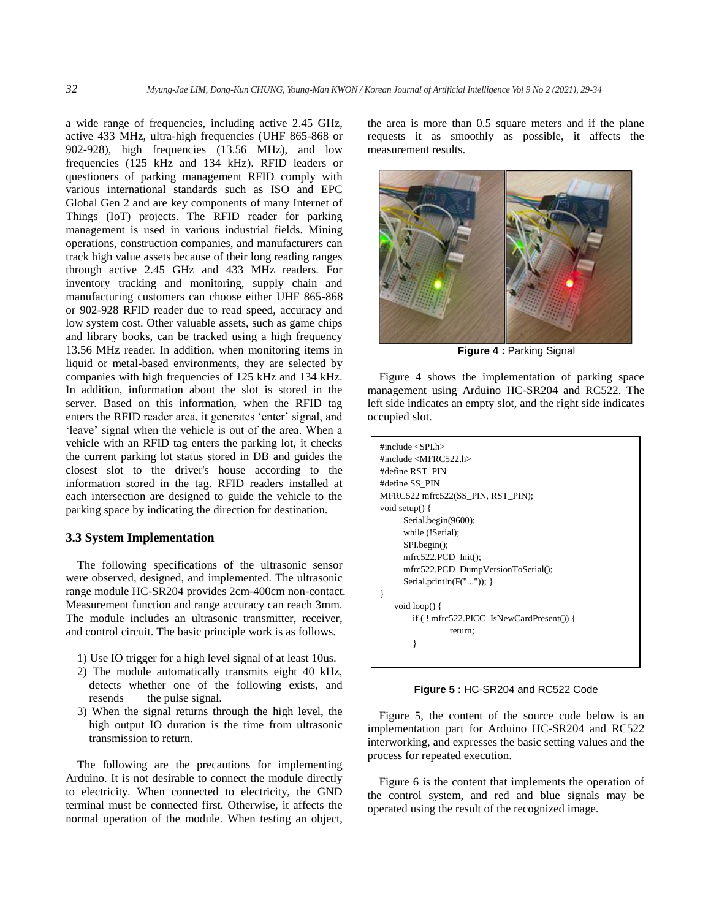a wide range of frequencies, including active 2.45 GHz, active 433 MHz, ultra-high frequencies (UHF 865-868 or 902-928), high frequencies (13.56 MHz), and low frequencies (125 kHz and 134 kHz). RFID leaders or questioners of parking management RFID comply with various international standards such as ISO and EPC Global Gen 2 and are key components of many Internet of Things (IoT) projects. The RFID reader for parking management is used in various industrial fields. Mining operations, construction companies, and manufacturers can track high value assets because of their long reading ranges through active 2.45 GHz and 433 MHz readers. For inventory tracking and monitoring, supply chain and manufacturing customers can choose either UHF 865-868 or 902-928 RFID reader due to read speed, accuracy and low system cost. Other valuable assets, such as game chips and library books, can be tracked using a high frequency 13.56 MHz reader. In addition, when monitoring items in liquid or metal-based environments, they are selected by companies with high frequencies of 125 kHz and 134 kHz. In addition, information about the slot is stored in the server. Based on this information, when the RFID tag enters the RFID reader area, it generates 'enter' signal, and 'leave' signal when the vehicle is out of the area. When a vehicle with an RFID tag enters the parking lot, it checks the current parking lot status stored in DB and guides the closest slot to the driver's house according to the information stored in the tag. RFID readers installed at each intersection are designed to guide the vehicle to the parking space by indicating the direction for destination.

#### **3.3 System Implementation**

The following specifications of the ultrasonic sensor were observed, designed, and implemented. The ultrasonic range module HC-SR204 provides 2cm-400cm non-contact. Measurement function and range accuracy can reach 3mm. The module includes an ultrasonic transmitter, receiver, and control circuit. The basic principle work is as follows.

- 1) Use IO trigger for a high level signal of at least 10us.
- 2) The module automatically transmits eight 40 kHz, detects whether one of the following exists, and resends the pulse signal.
- 3) When the signal returns through the high level, the high output IO duration is the time from ultrasonic transmission to return.

The following are the precautions for implementing Arduino. It is not desirable to connect the module directly to electricity. When connected to electricity, the GND terminal must be connected first. Otherwise, it affects the normal operation of the module. When testing an object, the area is more than 0.5 square meters and if the plane requests it as smoothly as possible, it affects the measurement results.



**Figure 4 :** Parking Signal

Figure 4 shows the implementation of parking space management using Arduino HC-SR204 and RC522. The left side indicates an empty slot, and the right side indicates occupied slot.

| #include $\langle$ SPI.h $>$              |
|-------------------------------------------|
| #include < $MFRC522.h>$                   |
| #define RST PIN                           |
| #define SS PIN                            |
| MFRC522 mfrc522(SS PIN, RST PIN);         |
| void setup $() \{$                        |
| Serial.begin(9600);                       |
| while (!Serial);                          |
| SPI.begin                                 |
| $mfrc522.PCD_Init()$ ;                    |
| mfrc522.PCD_DumpVersionToSerial();        |
| Serial.println $(F(""))$ ; }              |
|                                           |
| void $loop()$ {                           |
| $if (! mfrc522.PICC\_IsNewCardPresent())$ |
| return:                                   |
|                                           |
|                                           |

**Figure 5: HC-SR204 and RC522 Code** 

if  $\overline{R}$  and  $\overline{R}$  are  $\overline{R}$  and  $\overline{R}$  are  $\overline{R}$  and  $\overline{R}$  are  $\overline{R}$  and  $\overline{R}$  are  $\overline{R}$  and  $\overline{R}$  are  $\overline{R}$  and  $\overline{R}$  are  $\overline{R}$  and  $\overline{R}$  are  $\overline{R}$  and  $\overline{R}$  are  $\overline{R}$  a

Figure 5, the content of the source code below is an implementation part for Arduino HC-SR204 and RC522 interworking, and expresses the basic setting values and the process for repeated execution.

Figure 6 is the content that implements the operation of the control system, and red and blue signals may be operated using the result of the recognized image.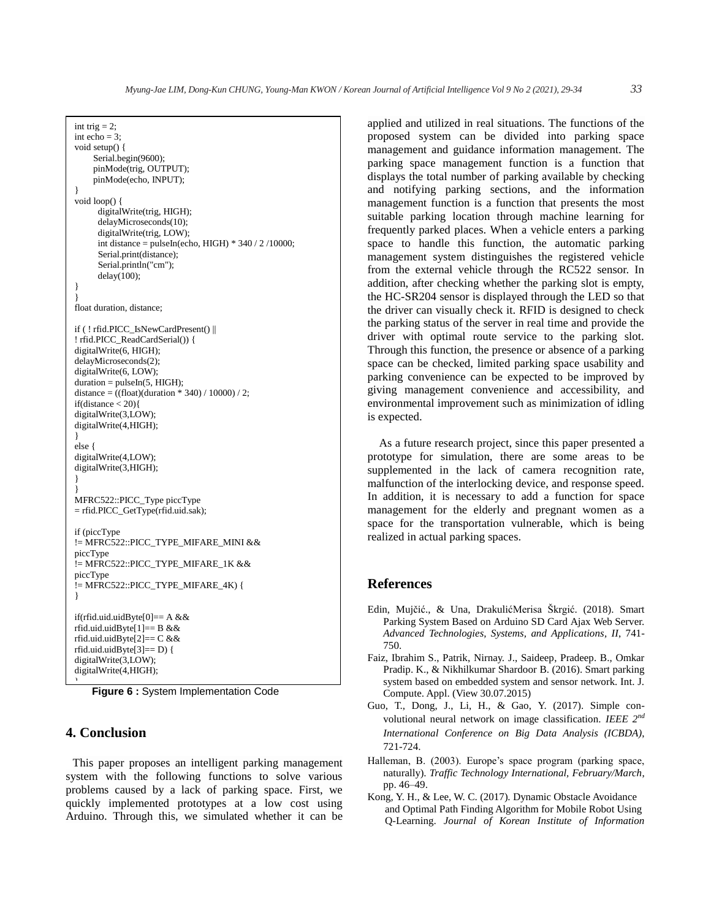```
int trig = 2;
int echo = 3;
void setup() {
     Serial.begin(9600);
     pinMode(trig, OUTPUT);
     pinMode(echo, INPUT);
}
void loop() {
       digitalWrite(trig, HIGH);
       delayMicroseconds(10);
       digitalWrite(trig, LOW);
       int distance = pulseIn(echo, HIGH) * 340 / 2 /10000;
       Serial.print(distance);
       Serial.println("cm");
       delay(100);
}
}
float duration, distance;
if ( ! rfid.PICC_IsNewCardPresent() || 
! rfid.PICC_ReadCardSerial()) {
digitalWrite(6, HIGH);
delayMicroseconds(2);
digitalWrite(6, LOW);
duration = pulseIn(5, HIGH);distance = ((float)(duration * 340) / 10000) / 2;if(distance < 20)\{digitalWrite(3,LOW);
digitalWrite(4,HIGH);
}
else {
digitalWrite(4,LOW);
digitalWrite(3,HIGH);
}
}
MFRC522::PICC_Type piccType 
= rfid.PICC_GetType(rfid.uid.sak);
if (piccType 
!= MFRC522::PICC_TYPE_MIFARE_MINI && 
piccType 
!= MFRC522::PICC_TYPE_MIFARE_1K &&
piccType 
!= MFRC522::PICC_TYPE_MIFARE_4K) {
}
if(rfid.uid.uidByte[0]== A & \& \&rfid.uid.uidByte[1] == B \&\&rfid.uid.uidByte[2] == C \&\&rfid.uid.uidByte[3] == D} {
digitalWrite(3,LOW);
digitalWrite(4,HIGH);
\overline{ }
```
**Figure 6:** System Implementation Code

#### **4. Conclusion** } }

This paper proposes an intelligent parking management system with the following functions to solve various problems caused by a lack of parking space. First, we quickly implemented prototypes at a low cost using Arduino. Through this, we simulated whether it can be

applied and utilized in real situations. The functions of the proposed system can be divided into parking space management and guidance information management. The parking space management function is a function that displays the total number of parking available by checking and notifying parking sections, and the information management function is a function that presents the most suitable parking location through machine learning for frequently parked places. When a vehicle enters a parking space to handle this function, the automatic parking management system distinguishes the registered vehicle from the external vehicle through the RC522 sensor. In addition, after checking whether the parking slot is empty, the HC-SR204 sensor is displayed through the LED so that the driver can visually check it. RFID is designed to check the parking status of the server in real time and provide the driver with optimal route service to the parking slot. Through this function, the presence or absence of a parking space can be checked, limited parking space usability and parking convenience can be expected to be improved by giving management convenience and accessibility, and environmental improvement such as minimization of idling is expected.

As a future research project, since this paper presented a prototype for simulation, there are some areas to be supplemented in the lack of camera recognition rate, malfunction of the interlocking device, and response speed. In addition, it is necessary to add a function for space management for the elderly and pregnant women as a space for the transportation vulnerable, which is being realized in actual parking spaces.

## **References**

- Edin, Mujčić., & Una, DrakulićMerisa Škrgić. (2018). Smart Parking System Based on Arduino SD Card Ajax Web Server. *Advanced Technologies, Systems, and Applications, II*, 741- 750.
- Faiz, Ibrahim S., Patrik, Nirnay. J., Saideep, Pradeep. B., Omkar Pradip. K., & Nikhilkumar Shardoor B. (2016). Smart parking system based on embedded system and sensor network. Int. J. Compute. Appl. (View 30.07.2015)
- Guo, T., Dong, J., Li, H., & Gao, Y. (2017). Simple convolutional neural network on image classification. *IEEE 2nd International Conference on Big Data Analysis (ICBDA)*, 721-724.
- Halleman, B. (2003). Europe's space program (parking space, naturally). *Traffic Technology International, February/March*, pp. 46–49.
- Kong, Y. H., & Lee, W. C. (2017). Dynamic Obstacle Avoidance and Optimal Path Finding Algorithm for Mobile Robot Using Q-Learning. *Journal of Korean Institute of Information*